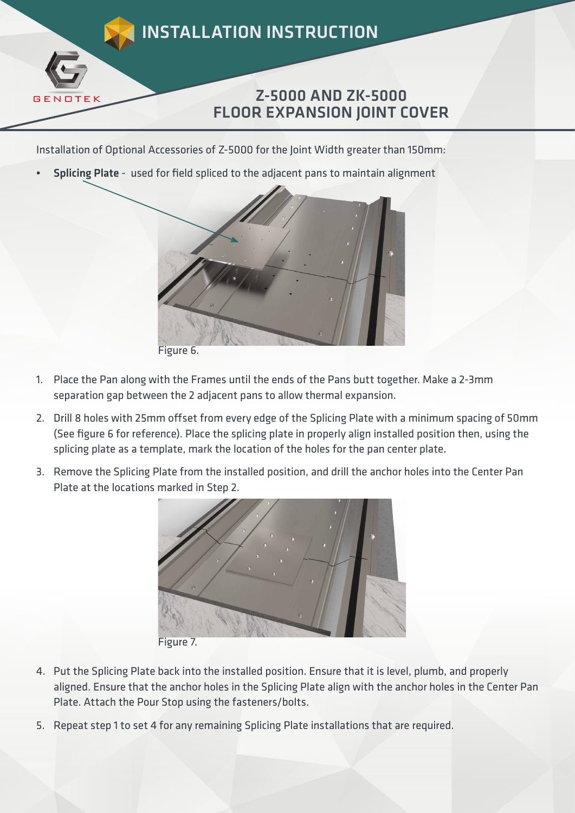

Installation of Optional Accessories of Z-5000 for the Joint Width greater than 150mm:

Splicing Plate - used for field spliced to the adjacent pans to maintain alignment



- 1. Place the Pan along with the Frames until the ends of the Pans butt together. Make a 2-3mm separation gap between the 2 adjacent pans to allow thermal expansion.
	- 2. Drill 8 holes with 25mm offset from every edge of the Splicing Plate with a minimum spacing of 50mm (See figure 6 for reference). Place the splicing plate in properly align installed position then, using the splicing plate as a template, mark the location of the holes for the pan center plate.
	- 3. Remove the Splicing Plate from the installed position, and drill the anchor holes into the Center Pan Plate at the locations marked in Step 2.



Figure 7.

- 4. Put the Splicing Plate back into the installed position. Ensure that it is level, plumb, and properly aligned. Ensure that the anchor holes in the Splicing Plate align with the anchor holes in the Center Pan Plate. Attach the Pour Stop using the fasteners/bolts.
- 5. Repeat step 1 to set 4 for any remaining Splicing Plate installations that are required.